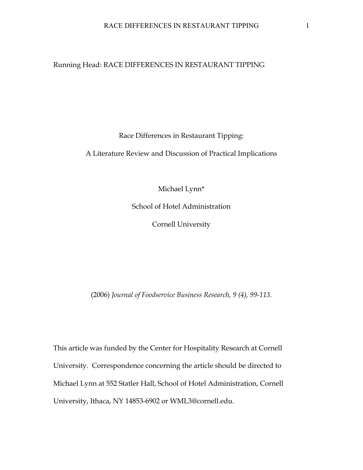#### Running Head: RACE DIFFERENCES IN RESTAURANT TIPPING

Race Differences in Restaurant Tipping:

A Literature Review and Discussion of Practical Implications

Michael Lynn\*

School of Hotel Administration

Cornell University

(2006) *Journal of Foodservice Business Research, 9 (4), 99-113.*

This article was funded by the Center for Hospitality Research at Cornell University. Correspondence concerning the article should be directed to Michael Lynn at 552 Statler Hall, School of Hotel Administration, Cornell University, Ithaca, NY 14853-6902 or WML3@cornell.edu.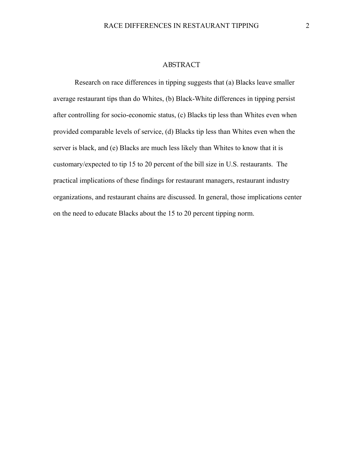#### ABSTRACT

 Research on race differences in tipping suggests that (a) Blacks leave smaller average restaurant tips than do Whites, (b) Black-White differences in tipping persist after controlling for socio-economic status, (c) Blacks tip less than Whites even when provided comparable levels of service, (d) Blacks tip less than Whites even when the server is black, and (e) Blacks are much less likely than Whites to know that it is customary/expected to tip 15 to 20 percent of the bill size in U.S. restaurants. The practical implications of these findings for restaurant managers, restaurant industry organizations, and restaurant chains are discussed. In general, those implications center on the need to educate Blacks about the 15 to 20 percent tipping norm.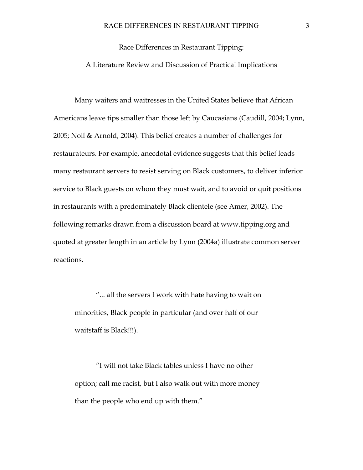Race Differences in Restaurant Tipping: A Literature Review and Discussion of Practical Implications

Many waiters and waitresses in the United States believe that African Americans leave tips smaller than those left by Caucasians (Caudill, 2004; Lynn, 2005; Noll & Arnold, 2004). This belief creates a number of challenges for restaurateurs. For example, anecdotal evidence suggests that this belief leads many restaurant servers to resist serving on Black customers, to deliver inferior service to Black guests on whom they must wait, and to avoid or quit positions in restaurants with a predominately Black clientele (see Amer, 2002). The following remarks drawn from a discussion board at www.tipping.org and quoted at greater length in an article by Lynn (2004a) illustrate common server reactions.

"... all the servers I work with hate having to wait on minorities, Black people in particular (and over half of our waitstaff is Black!!!).

"I will not take Black tables unless I have no other option; call me racist, but I also walk out with more money than the people who end up with them."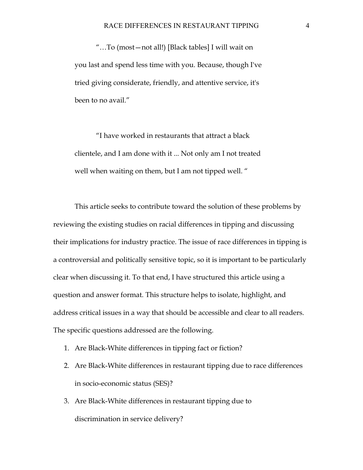"…To (most—not all!) [Black tables] I will wait on you last and spend less time with you. Because, though I've tried giving considerate, friendly, and attentive service, it's been to no avail."

"I have worked in restaurants that attract a black clientele, and I am done with it ... Not only am I not treated well when waiting on them, but I am not tipped well. "

This article seeks to contribute toward the solution of these problems by reviewing the existing studies on racial differences in tipping and discussing their implications for industry practice. The issue of race differences in tipping is a controversial and politically sensitive topic, so it is important to be particularly clear when discussing it. To that end, I have structured this article using a question and answer format. This structure helps to isolate, highlight, and address critical issues in a way that should be accessible and clear to all readers. The specific questions addressed are the following.

- 1. Are Black-White differences in tipping fact or fiction?
- 2. Are Black-White differences in restaurant tipping due to race differences in socio-economic status (SES)?
- 3. Are Black-White differences in restaurant tipping due to discrimination in service delivery?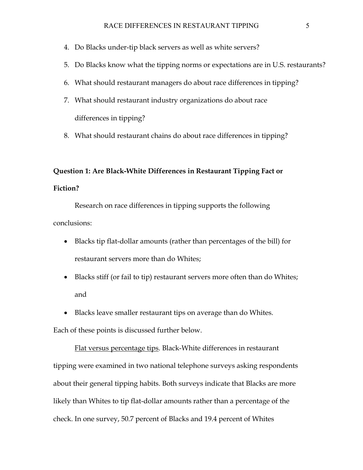- 4. Do Blacks under-tip black servers as well as white servers?
- 5. Do Blacks know what the tipping norms or expectations are in U.S. restaurants?
- 6. What should restaurant managers do about race differences in tipping?
- 7. What should restaurant industry organizations do about race differences in tipping?
- 8. What should restaurant chains do about race differences in tipping?

# **Question 1: Are Black-White Differences in Restaurant Tipping Fact or**

### **Fiction?**

 Research on race differences in tipping supports the following conclusions:

- Blacks tip flat-dollar amounts (rather than percentages of the bill) for restaurant servers more than do Whites;
- Blacks stiff (or fail to tip) restaurant servers more often than do Whites; and
- Blacks leave smaller restaurant tips on average than do Whites.

Each of these points is discussed further below.

Flat versus percentage tips. Black-White differences in restaurant tipping were examined in two national telephone surveys asking respondents about their general tipping habits. Both surveys indicate that Blacks are more likely than Whites to tip flat-dollar amounts rather than a percentage of the check. In one survey, 50.7 percent of Blacks and 19.4 percent of Whites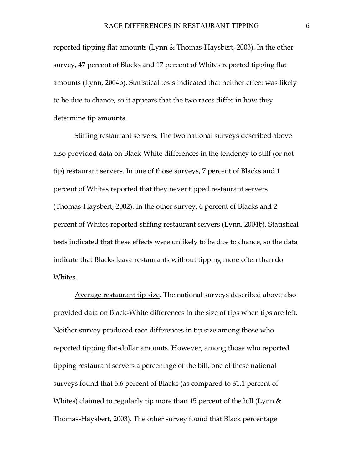reported tipping flat amounts (Lynn & Thomas-Haysbert, 2003). In the other survey, 47 percent of Blacks and 17 percent of Whites reported tipping flat amounts (Lynn, 2004b). Statistical tests indicated that neither effect was likely to be due to chance, so it appears that the two races differ in how they determine tip amounts.

Stiffing restaurant servers. The two national surveys described above also provided data on Black-White differences in the tendency to stiff (or not tip) restaurant servers. In one of those surveys, 7 percent of Blacks and 1 percent of Whites reported that they never tipped restaurant servers (Thomas-Haysbert, 2002). In the other survey, 6 percent of Blacks and 2 percent of Whites reported stiffing restaurant servers (Lynn, 2004b). Statistical tests indicated that these effects were unlikely to be due to chance, so the data indicate that Blacks leave restaurants without tipping more often than do Whites.

Average restaurant tip size. The national surveys described above also provided data on Black-White differences in the size of tips when tips are left. Neither survey produced race differences in tip size among those who reported tipping flat-dollar amounts. However, among those who reported tipping restaurant servers a percentage of the bill, one of these national surveys found that 5.6 percent of Blacks (as compared to 31.1 percent of Whites) claimed to regularly tip more than 15 percent of the bill (Lynn & Thomas-Haysbert, 2003). The other survey found that Black percentage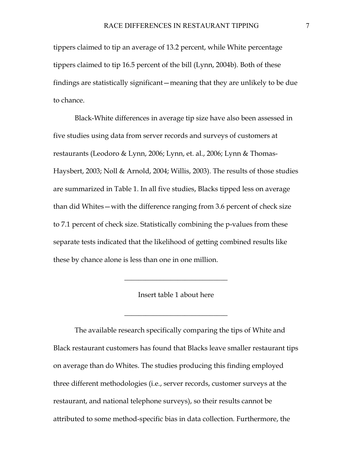tippers claimed to tip an average of 13.2 percent, while White percentage tippers claimed to tip 16.5 percent of the bill (Lynn, 2004b). Both of these findings are statistically significant—meaning that they are unlikely to be due to chance.

 Black-White differences in average tip size have also been assessed in five studies using data from server records and surveys of customers at restaurants (Leodoro & Lynn, 2006; Lynn, et. al., 2006; Lynn & Thomas-Haysbert, 2003; Noll & Arnold, 2004; Willis, 2003). The results of those studies are summarized in Table 1. In all five studies, Blacks tipped less on average than did Whites—with the difference ranging from 3.6 percent of check size to 7.1 percent of check size. Statistically combining the p-values from these separate tests indicated that the likelihood of getting combined results like these by chance alone is less than one in one million.

Insert table 1 about here

 $\frac{1}{2}$  ,  $\frac{1}{2}$  ,  $\frac{1}{2}$  ,  $\frac{1}{2}$  ,  $\frac{1}{2}$  ,  $\frac{1}{2}$  ,  $\frac{1}{2}$  ,  $\frac{1}{2}$  ,  $\frac{1}{2}$  ,  $\frac{1}{2}$  ,  $\frac{1}{2}$  ,  $\frac{1}{2}$  ,  $\frac{1}{2}$  ,  $\frac{1}{2}$  ,  $\frac{1}{2}$  ,  $\frac{1}{2}$  ,  $\frac{1}{2}$  ,  $\frac{1}{2}$  ,  $\frac{1$ 

 $\frac{1}{2}$  ,  $\frac{1}{2}$  ,  $\frac{1}{2}$  ,  $\frac{1}{2}$  ,  $\frac{1}{2}$  ,  $\frac{1}{2}$  ,  $\frac{1}{2}$  ,  $\frac{1}{2}$  ,  $\frac{1}{2}$  ,  $\frac{1}{2}$  ,  $\frac{1}{2}$  ,  $\frac{1}{2}$  ,  $\frac{1}{2}$  ,  $\frac{1}{2}$  ,  $\frac{1}{2}$  ,  $\frac{1}{2}$  ,  $\frac{1}{2}$  ,  $\frac{1}{2}$  ,  $\frac{1$ 

 The available research specifically comparing the tips of White and Black restaurant customers has found that Blacks leave smaller restaurant tips on average than do Whites. The studies producing this finding employed three different methodologies (i.e., server records, customer surveys at the restaurant, and national telephone surveys), so their results cannot be attributed to some method-specific bias in data collection. Furthermore, the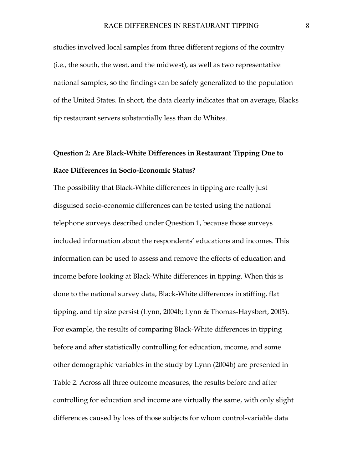studies involved local samples from three different regions of the country (i.e., the south, the west, and the midwest), as well as two representative national samples, so the findings can be safely generalized to the population of the United States. In short, the data clearly indicates that on average, Blacks tip restaurant servers substantially less than do Whites.

## **Question 2: Are Black-White Differences in Restaurant Tipping Due to Race Differences in Socio-Economic Status?**

The possibility that Black-White differences in tipping are really just disguised socio-economic differences can be tested using the national telephone surveys described under Question 1, because those surveys included information about the respondents' educations and incomes. This information can be used to assess and remove the effects of education and income before looking at Black-White differences in tipping. When this is done to the national survey data, Black-White differences in stiffing, flat tipping, and tip size persist (Lynn, 2004b; Lynn & Thomas-Haysbert, 2003). For example, the results of comparing Black-White differences in tipping before and after statistically controlling for education, income, and some other demographic variables in the study by Lynn (2004b) are presented in Table 2. Across all three outcome measures, the results before and after controlling for education and income are virtually the same, with only slight differences caused by loss of those subjects for whom control-variable data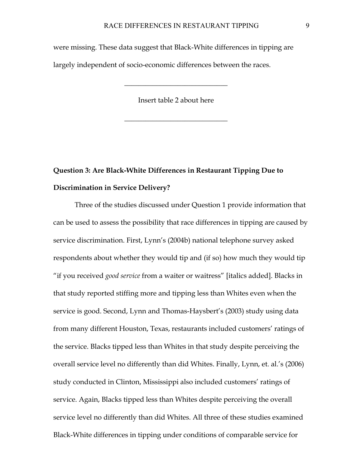were missing. These data suggest that Black-White differences in tipping are largely independent of socio-economic differences between the races.

Insert table 2 about here

 $\frac{1}{2}$  ,  $\frac{1}{2}$  ,  $\frac{1}{2}$  ,  $\frac{1}{2}$  ,  $\frac{1}{2}$  ,  $\frac{1}{2}$  ,  $\frac{1}{2}$  ,  $\frac{1}{2}$  ,  $\frac{1}{2}$  ,  $\frac{1}{2}$  ,  $\frac{1}{2}$  ,  $\frac{1}{2}$  ,  $\frac{1}{2}$  ,  $\frac{1}{2}$  ,  $\frac{1}{2}$  ,  $\frac{1}{2}$  ,  $\frac{1}{2}$  ,  $\frac{1}{2}$  ,  $\frac{1$ 

 $\frac{1}{2}$  ,  $\frac{1}{2}$  ,  $\frac{1}{2}$  ,  $\frac{1}{2}$  ,  $\frac{1}{2}$  ,  $\frac{1}{2}$  ,  $\frac{1}{2}$  ,  $\frac{1}{2}$  ,  $\frac{1}{2}$  ,  $\frac{1}{2}$  ,  $\frac{1}{2}$  ,  $\frac{1}{2}$  ,  $\frac{1}{2}$  ,  $\frac{1}{2}$  ,  $\frac{1}{2}$  ,  $\frac{1}{2}$  ,  $\frac{1}{2}$  ,  $\frac{1}{2}$  ,  $\frac{1$ 

# **Question 3: Are Black-White Differences in Restaurant Tipping Due to Discrimination in Service Delivery?**

Three of the studies discussed under Question 1 provide information that can be used to assess the possibility that race differences in tipping are caused by service discrimination. First, Lynn's (2004b) national telephone survey asked respondents about whether they would tip and (if so) how much they would tip "if you received *good service* from a waiter or waitress" [italics added]. Blacks in that study reported stiffing more and tipping less than Whites even when the service is good. Second, Lynn and Thomas-Haysbert's (2003) study using data from many different Houston, Texas, restaurants included customers' ratings of the service. Blacks tipped less than Whites in that study despite perceiving the overall service level no differently than did Whites. Finally, Lynn, et. al.'s (2006) study conducted in Clinton, Mississippi also included customers' ratings of service. Again, Blacks tipped less than Whites despite perceiving the overall service level no differently than did Whites. All three of these studies examined Black-White differences in tipping under conditions of comparable service for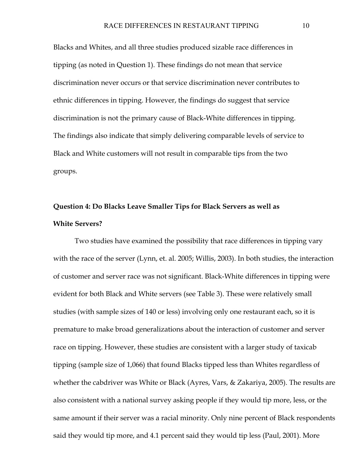Blacks and Whites, and all three studies produced sizable race differences in tipping (as noted in Question 1). These findings do not mean that service discrimination never occurs or that service discrimination never contributes to ethnic differences in tipping. However, the findings do suggest that service discrimination is not the primary cause of Black-White differences in tipping. The findings also indicate that simply delivering comparable levels of service to Black and White customers will not result in comparable tips from the two groups.

### **Question 4: Do Blacks Leave Smaller Tips for Black Servers as well as White Servers?**

 Two studies have examined the possibility that race differences in tipping vary with the race of the server (Lynn, et. al. 2005; Willis, 2003). In both studies, the interaction of customer and server race was not significant. Black-White differences in tipping were evident for both Black and White servers (see Table 3). These were relatively small studies (with sample sizes of 140 or less) involving only one restaurant each, so it is premature to make broad generalizations about the interaction of customer and server race on tipping. However, these studies are consistent with a larger study of taxicab tipping (sample size of 1,066) that found Blacks tipped less than Whites regardless of whether the cabdriver was White or Black (Ayres, Vars, & Zakariya, 2005). The results are also consistent with a national survey asking people if they would tip more, less, or the same amount if their server was a racial minority. Only nine percent of Black respondents said they would tip more, and 4.1 percent said they would tip less (Paul, 2001). More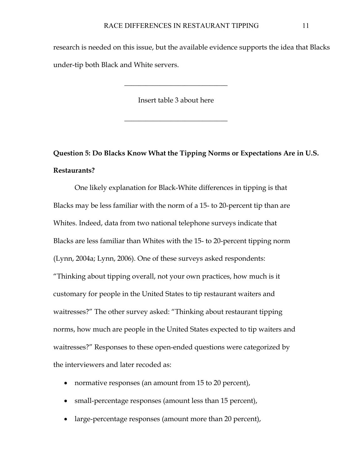research is needed on this issue, but the available evidence supports the idea that Blacks under-tip both Black and White servers.

Insert table 3 about here

 $\frac{1}{2}$  ,  $\frac{1}{2}$  ,  $\frac{1}{2}$  ,  $\frac{1}{2}$  ,  $\frac{1}{2}$  ,  $\frac{1}{2}$  ,  $\frac{1}{2}$  ,  $\frac{1}{2}$  ,  $\frac{1}{2}$  ,  $\frac{1}{2}$  ,  $\frac{1}{2}$  ,  $\frac{1}{2}$  ,  $\frac{1}{2}$  ,  $\frac{1}{2}$  ,  $\frac{1}{2}$  ,  $\frac{1}{2}$  ,  $\frac{1}{2}$  ,  $\frac{1}{2}$  ,  $\frac{1$ 

 $\frac{1}{2}$  ,  $\frac{1}{2}$  ,  $\frac{1}{2}$  ,  $\frac{1}{2}$  ,  $\frac{1}{2}$  ,  $\frac{1}{2}$  ,  $\frac{1}{2}$  ,  $\frac{1}{2}$  ,  $\frac{1}{2}$  ,  $\frac{1}{2}$  ,  $\frac{1}{2}$  ,  $\frac{1}{2}$  ,  $\frac{1}{2}$  ,  $\frac{1}{2}$  ,  $\frac{1}{2}$  ,  $\frac{1}{2}$  ,  $\frac{1}{2}$  ,  $\frac{1}{2}$  ,  $\frac{1$ 

**Question 5: Do Blacks Know What the Tipping Norms or Expectations Are in U.S. Restaurants?** 

 One likely explanation for Black-White differences in tipping is that Blacks may be less familiar with the norm of a 15- to 20-percent tip than are Whites. Indeed, data from two national telephone surveys indicate that Blacks are less familiar than Whites with the 15- to 20-percent tipping norm (Lynn, 2004a; Lynn, 2006). One of these surveys asked respondents: "Thinking about tipping overall, not your own practices, how much is it customary for people in the United States to tip restaurant waiters and waitresses?" The other survey asked: "Thinking about restaurant tipping norms, how much are people in the United States expected to tip waiters and waitresses?" Responses to these open-ended questions were categorized by the interviewers and later recoded as:

- normative responses (an amount from 15 to 20 percent),
- small-percentage responses (amount less than 15 percent),
- large-percentage responses (amount more than 20 percent),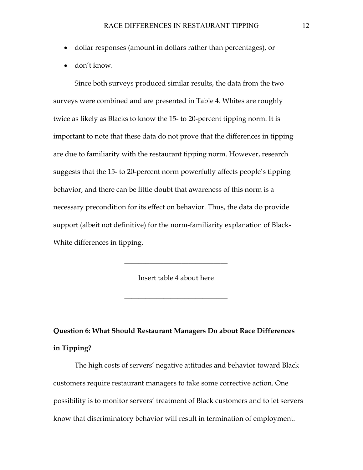- dollar responses (amount in dollars rather than percentages), or
- don't know.

 Since both surveys produced similar results, the data from the two surveys were combined and are presented in Table 4. Whites are roughly twice as likely as Blacks to know the 15- to 20-percent tipping norm. It is important to note that these data do not prove that the differences in tipping are due to familiarity with the restaurant tipping norm. However, research suggests that the 15- to 20-percent norm powerfully affects people's tipping behavior, and there can be little doubt that awareness of this norm is a necessary precondition for its effect on behavior. Thus, the data do provide support (albeit not definitive) for the norm-familiarity explanation of Black-White differences in tipping.

Insert table 4 about here

 $\frac{1}{2}$  ,  $\frac{1}{2}$  ,  $\frac{1}{2}$  ,  $\frac{1}{2}$  ,  $\frac{1}{2}$  ,  $\frac{1}{2}$  ,  $\frac{1}{2}$  ,  $\frac{1}{2}$  ,  $\frac{1}{2}$  ,  $\frac{1}{2}$  ,  $\frac{1}{2}$  ,  $\frac{1}{2}$  ,  $\frac{1}{2}$  ,  $\frac{1}{2}$  ,  $\frac{1}{2}$  ,  $\frac{1}{2}$  ,  $\frac{1}{2}$  ,  $\frac{1}{2}$  ,  $\frac{1$ 

 $\frac{1}{2}$  ,  $\frac{1}{2}$  ,  $\frac{1}{2}$  ,  $\frac{1}{2}$  ,  $\frac{1}{2}$  ,  $\frac{1}{2}$  ,  $\frac{1}{2}$  ,  $\frac{1}{2}$  ,  $\frac{1}{2}$  ,  $\frac{1}{2}$  ,  $\frac{1}{2}$  ,  $\frac{1}{2}$  ,  $\frac{1}{2}$  ,  $\frac{1}{2}$  ,  $\frac{1}{2}$  ,  $\frac{1}{2}$  ,  $\frac{1}{2}$  ,  $\frac{1}{2}$  ,  $\frac{1$ 

**Question 6: What Should Restaurant Managers Do about Race Differences in Tipping?** 

The high costs of servers' negative attitudes and behavior toward Black customers require restaurant managers to take some corrective action. One possibility is to monitor servers' treatment of Black customers and to let servers know that discriminatory behavior will result in termination of employment.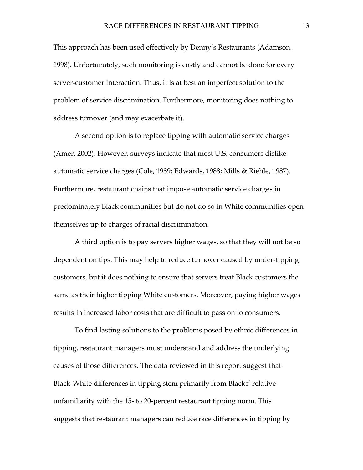This approach has been used effectively by Denny's Restaurants (Adamson, 1998). Unfortunately, such monitoring is costly and cannot be done for every server-customer interaction. Thus, it is at best an imperfect solution to the problem of service discrimination. Furthermore, monitoring does nothing to address turnover (and may exacerbate it).

A second option is to replace tipping with automatic service charges (Amer, 2002). However, surveys indicate that most U.S. consumers dislike automatic service charges (Cole, 1989; Edwards, 1988; Mills & Riehle, 1987). Furthermore, restaurant chains that impose automatic service charges in predominately Black communities but do not do so in White communities open themselves up to charges of racial discrimination.

A third option is to pay servers higher wages, so that they will not be so dependent on tips. This may help to reduce turnover caused by under-tipping customers, but it does nothing to ensure that servers treat Black customers the same as their higher tipping White customers. Moreover, paying higher wages results in increased labor costs that are difficult to pass on to consumers.

 To find lasting solutions to the problems posed by ethnic differences in tipping, restaurant managers must understand and address the underlying causes of those differences. The data reviewed in this report suggest that Black-White differences in tipping stem primarily from Blacks' relative unfamiliarity with the 15- to 20-percent restaurant tipping norm. This suggests that restaurant managers can reduce race differences in tipping by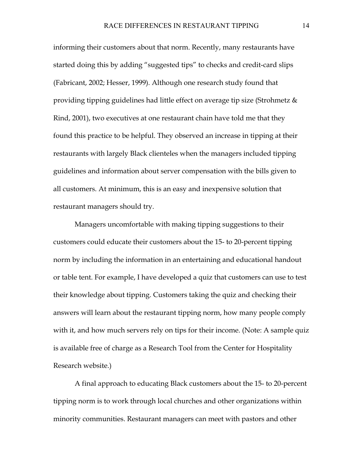informing their customers about that norm. Recently, many restaurants have started doing this by adding "suggested tips" to checks and credit-card slips (Fabricant, 2002; Hesser, 1999). Although one research study found that providing tipping guidelines had little effect on average tip size (Strohmetz & Rind, 2001), two executives at one restaurant chain have told me that they found this practice to be helpful. They observed an increase in tipping at their restaurants with largely Black clienteles when the managers included tipping guidelines and information about server compensation with the bills given to all customers. At minimum, this is an easy and inexpensive solution that restaurant managers should try.

Managers uncomfortable with making tipping suggestions to their customers could educate their customers about the 15- to 20-percent tipping norm by including the information in an entertaining and educational handout or table tent. For example, I have developed a quiz that customers can use to test their knowledge about tipping. Customers taking the quiz and checking their answers will learn about the restaurant tipping norm, how many people comply with it, and how much servers rely on tips for their income. (Note: A sample quiz is available free of charge as a Research Tool from the Center for Hospitality Research website.)

A final approach to educating Black customers about the 15- to 20-percent tipping norm is to work through local churches and other organizations within minority communities. Restaurant managers can meet with pastors and other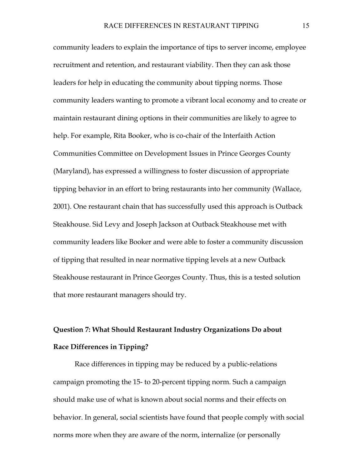community leaders to explain the importance of tips to server income, employee recruitment and retention, and restaurant viability. Then they can ask those leaders for help in educating the community about tipping norms. Those community leaders wanting to promote a vibrant local economy and to create or maintain restaurant dining options in their communities are likely to agree to help. For example, Rita Booker, who is co-chair of the Interfaith Action Communities Committee on Development Issues in Prince Georges County (Maryland), has expressed a willingness to foster discussion of appropriate tipping behavior in an effort to bring restaurants into her community (Wallace, 2001). One restaurant chain that has successfully used this approach is Outback Steakhouse. Sid Levy and Joseph Jackson at Outback Steakhouse met with community leaders like Booker and were able to foster a community discussion of tipping that resulted in near normative tipping levels at a new Outback Steakhouse restaurant in Prince Georges County. Thus, this is a tested solution that more restaurant managers should try.

## **Question 7: What Should Restaurant Industry Organizations Do about Race Differences in Tipping?**

Race differences in tipping may be reduced by a public-relations campaign promoting the 15- to 20-percent tipping norm. Such a campaign should make use of what is known about social norms and their effects on behavior. In general, social scientists have found that people comply with social norms more when they are aware of the norm, internalize (or personally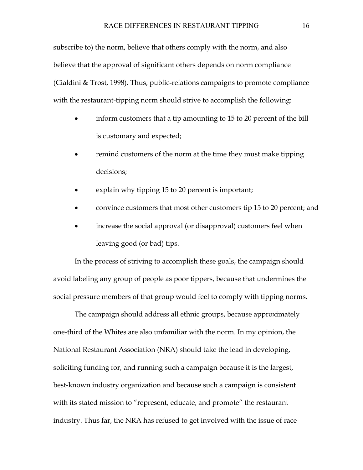subscribe to) the norm, believe that others comply with the norm, and also believe that the approval of significant others depends on norm compliance (Cialdini & Trost, 1998). Thus, public-relations campaigns to promote compliance with the restaurant-tipping norm should strive to accomplish the following:

- inform customers that a tip amounting to 15 to 20 percent of the bill is customary and expected;
- remind customers of the norm at the time they must make tipping decisions;
- explain why tipping 15 to 20 percent is important;
- convince customers that most other customers tip 15 to 20 percent; and
- increase the social approval (or disapproval) customers feel when leaving good (or bad) tips.

In the process of striving to accomplish these goals, the campaign should avoid labeling any group of people as poor tippers, because that undermines the social pressure members of that group would feel to comply with tipping norms.

 The campaign should address all ethnic groups, because approximately one-third of the Whites are also unfamiliar with the norm. In my opinion, the National Restaurant Association (NRA) should take the lead in developing, soliciting funding for, and running such a campaign because it is the largest, best-known industry organization and because such a campaign is consistent with its stated mission to "represent, educate, and promote" the restaurant industry. Thus far, the NRA has refused to get involved with the issue of race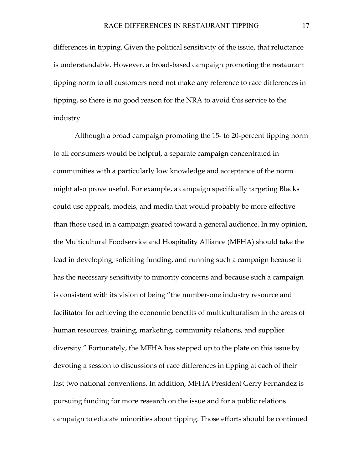differences in tipping. Given the political sensitivity of the issue, that reluctance is understandable. However, a broad-based campaign promoting the restaurant tipping norm to all customers need not make any reference to race differences in tipping, so there is no good reason for the NRA to avoid this service to the industry.

Although a broad campaign promoting the 15- to 20-percent tipping norm to all consumers would be helpful, a separate campaign concentrated in communities with a particularly low knowledge and acceptance of the norm might also prove useful. For example, a campaign specifically targeting Blacks could use appeals, models, and media that would probably be more effective than those used in a campaign geared toward a general audience. In my opinion, the Multicultural Foodservice and Hospitality Alliance (MFHA) should take the lead in developing, soliciting funding, and running such a campaign because it has the necessary sensitivity to minority concerns and because such a campaign is consistent with its vision of being "the number-one industry resource and facilitator for achieving the economic benefits of multiculturalism in the areas of human resources, training, marketing, community relations, and supplier diversity." Fortunately, the MFHA has stepped up to the plate on this issue by devoting a session to discussions of race differences in tipping at each of their last two national conventions. In addition, MFHA President Gerry Fernandez is pursuing funding for more research on the issue and for a public relations campaign to educate minorities about tipping. Those efforts should be continued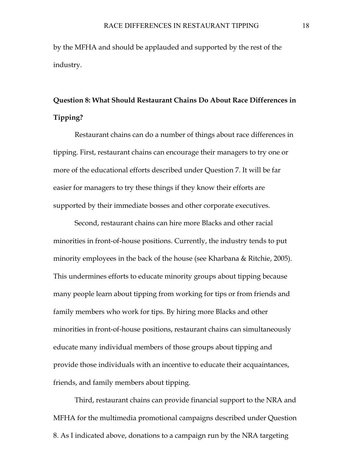by the MFHA and should be applauded and supported by the rest of the industry.

## **Question 8: What Should Restaurant Chains Do About Race Differences in Tipping?**

 Restaurant chains can do a number of things about race differences in tipping. First, restaurant chains can encourage their managers to try one or more of the educational efforts described under Question 7. It will be far easier for managers to try these things if they know their efforts are supported by their immediate bosses and other corporate executives.

 Second, restaurant chains can hire more Blacks and other racial minorities in front-of-house positions. Currently, the industry tends to put minority employees in the back of the house (see Kharbana & Ritchie, 2005). This undermines efforts to educate minority groups about tipping because many people learn about tipping from working for tips or from friends and family members who work for tips. By hiring more Blacks and other minorities in front-of-house positions, restaurant chains can simultaneously educate many individual members of those groups about tipping and provide those individuals with an incentive to educate their acquaintances, friends, and family members about tipping.

 Third, restaurant chains can provide financial support to the NRA and MFHA for the multimedia promotional campaigns described under Question 8. As I indicated above, donations to a campaign run by the NRA targeting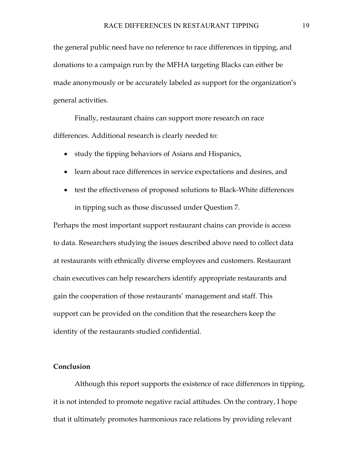the general public need have no reference to race differences in tipping, and donations to a campaign run by the MFHA targeting Blacks can either be made anonymously or be accurately labeled as support for the organization's general activities.

 Finally, restaurant chains can support more research on race differences. Additional research is clearly needed to:

- study the tipping behaviors of Asians and Hispanics,
- learn about race differences in service expectations and desires, and
- test the effectiveness of proposed solutions to Black-White differences in tipping such as those discussed under Question 7.

Perhaps the most important support restaurant chains can provide is access to data. Researchers studying the issues described above need to collect data at restaurants with ethnically diverse employees and customers. Restaurant chain executives can help researchers identify appropriate restaurants and gain the cooperation of those restaurants' management and staff. This support can be provided on the condition that the researchers keep the identity of the restaurants studied confidential.

#### **Conclusion**

Although this report supports the existence of race differences in tipping, it is not intended to promote negative racial attitudes. On the contrary, I hope that it ultimately promotes harmonious race relations by providing relevant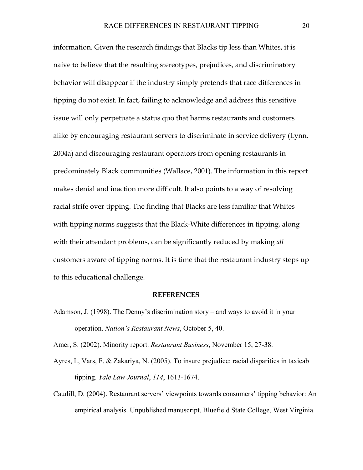information. Given the research findings that Blacks tip less than Whites, it is naive to believe that the resulting stereotypes, prejudices, and discriminatory behavior will disappear if the industry simply pretends that race differences in tipping do not exist. In fact, failing to acknowledge and address this sensitive issue will only perpetuate a status quo that harms restaurants and customers alike by encouraging restaurant servers to discriminate in service delivery (Lynn, 2004a) and discouraging restaurant operators from opening restaurants in predominately Black communities (Wallace, 2001). The information in this report makes denial and inaction more difficult. It also points to a way of resolving racial strife over tipping. The finding that Blacks are less familiar that Whites with tipping norms suggests that the Black-White differences in tipping, along with their attendant problems, can be significantly reduced by making *all* customers aware of tipping norms. It is time that the restaurant industry steps up to this educational challenge.

#### **REFERENCES**

Adamson, J. (1998). The Denny's discrimination story – and ways to avoid it in your operation. *Nation's Restaurant News*, October 5, 40.

Amer, S. (2002). Minority report. *Restaurant Business*, November 15, 27-38.

- Ayres, I., Vars, F. & Zakariya, N. (2005). To insure prejudice: racial disparities in taxicab tipping. *Yale Law Journal*, *114*, 1613-1674.
- Caudill, D. (2004). Restaurant servers' viewpoints towards consumers' tipping behavior: An empirical analysis. Unpublished manuscript, Bluefield State College, West Virginia.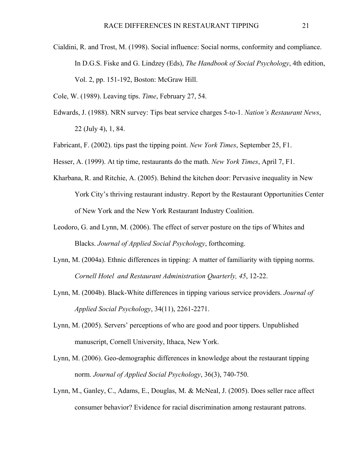Cialdini, R. and Trost, M. (1998). Social influence: Social norms, conformity and compliance. In D.G.S. Fiske and G. Lindzey (Eds), *The Handbook of Social Psychology*, 4th edition, Vol. 2, pp. 151-192, Boston: McGraw Hill.

Cole, W. (1989). Leaving tips. *Time*, February 27, 54.

- Edwards, J. (1988). NRN survey: Tips beat service charges 5-to-1. *Nation's Restaurant News*, 22 (July 4), 1, 84.
- Fabricant, F. (2002). tips past the tipping point. *New York Times*, September 25, F1.
- Hesser, A. (1999). At tip time, restaurants do the math. *New York Times*, April 7, F1.
- Kharbana, R. and Ritchie, A. (2005). Behind the kitchen door: Pervasive inequality in New York City's thriving restaurant industry. Report by the Restaurant Opportunities Center of New York and the New York Restaurant Industry Coalition.
- Leodoro, G. and Lynn, M. (2006). The effect of server posture on the tips of Whites and Blacks. *Journal of Applied Social Psychology*, forthcoming.
- Lynn, M. (2004a). Ethnic differences in tipping: A matter of familiarity with tipping norms. *Cornell Hotel and Restaurant Administration Quarterly, 45*, 12-22.
- Lynn, M. (2004b). Black-White differences in tipping various service providers. *Journal of Applied Social Psychology*, 34(11), 2261-2271.
- Lynn, M. (2005). Servers' perceptions of who are good and poor tippers. Unpublished manuscript, Cornell University, Ithaca, New York.
- Lynn, M. (2006). Geo-demographic differences in knowledge about the restaurant tipping norm. *Journal of Applied Social Psychology*, 36(3), 740-750.
- Lynn, M., Ganley, C., Adams, E., Douglas, M. & McNeal, J. (2005). Does seller race affect consumer behavior? Evidence for racial discrimination among restaurant patrons.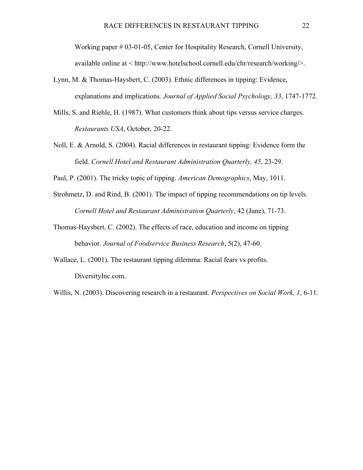Working paper # 03-01-05, Center for Hospitality Research, Cornell University, available online at < http://www.hotelschool.cornell.edu/chr/research/working/>.

- Lynn, M. & Thomas-Haysbert, C. (2003). Ethnic differences in tipping: Evidence, explanations and implications. *Journal of Applied Social Psychology, 33*, 1747-1772.
- Mills, S. and Riehle, H. (1987). What customers think about tips versus service charges. *Restaurants USA*, October, 20-22.
- Noll, E. & Arnold, S. (2004). Racial differences in restaurant tipping: Evidence form the field. *Cornell Hotel and Restaurant Administration Quarterly, 45*, 23-29.
- Paul, P. (2001). The tricky topic of tipping. *American Demographics*, May, 1011.
- Strohmetz, D. and Rind, B. (2001). The impact of tipping recommendations on tip levels. *Cornell Hotel and Restaurant Administration Quarterly*, 42 (June), 71-73.
- Thomas-Haysbert, C. (2002). The effects of race, education and income on tipping behavior. *Journal of Foodservice Business Research*, 5(2), 47-60.
- Wallace, L. (2001). The restaurant tipping dilemma: Racial fears vs profits. DiversityInc.com.

Willis, N. (2003). Discovering research in a restaurant. *Perspectives on Social Work, 1*, 6-11.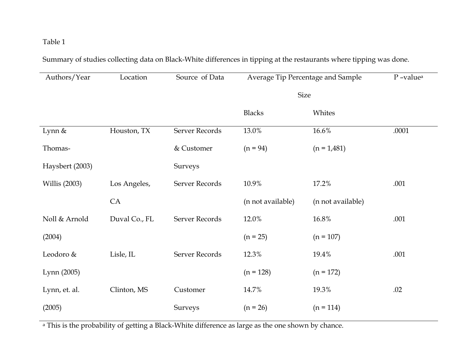Summary of studies collecting data on Black-White differences in tipping at the restaurants where tipping was done.

| Authors/Year         | Location      | Source of Data | Average Tip Percentage and Sample |                   | P-value <sup>a</sup> |
|----------------------|---------------|----------------|-----------------------------------|-------------------|----------------------|
|                      |               | <b>Size</b>    |                                   |                   |                      |
|                      |               |                | <b>Blacks</b>                     | Whites            |                      |
| Lynn &               | Houston, TX   | Server Records | 13.0%                             | 16.6%             | .0001                |
| Thomas-              |               | & Customer     | $(n = 94)$                        | $(n = 1,481)$     |                      |
| Haysbert (2003)      |               | Surveys        |                                   |                   |                      |
| <b>Willis</b> (2003) | Los Angeles,  | Server Records | 10.9%                             | 17.2%             | .001                 |
|                      | CA            |                | (n not available)                 | (n not available) |                      |
| Noll & Arnold        | Duval Co., FL | Server Records | 12.0%                             | 16.8%             | .001                 |
| (2004)               |               |                | $(n = 25)$                        | $(n = 107)$       |                      |
| Leodoro &            | Lisle, IL     | Server Records | 12.3%                             | 19.4%             | .001                 |
| Lynn (2005)          |               |                | $(n = 128)$                       | $(n = 172)$       |                      |
| Lynn, et. al.        | Clinton, MS   | Customer       | 14.7%                             | 19.3%             | .02                  |
| (2005)               |               | Surveys        | $(n = 26)$                        | $(n = 114)$       |                      |

<sup>a</sup> This is the probability of getting a Black-White difference as large as the one shown by chance.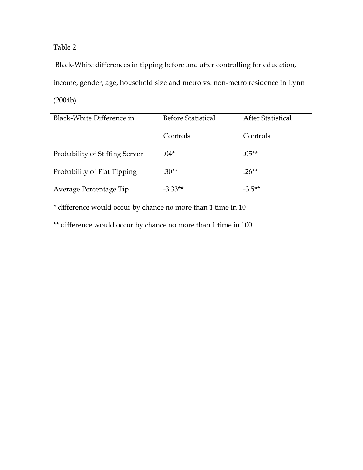Black-White differences in tipping before and after controlling for education, income, gender, age, household size and metro vs. non-metro residence in Lynn (2004b).

| Black-White Difference in:     | <b>Before Statistical</b> | After Statistical |
|--------------------------------|---------------------------|-------------------|
|                                | Controls                  | Controls          |
| Probability of Stiffing Server | $.04*$                    | $.05***$          |
| Probability of Flat Tipping    | $.30**$                   | $.26**$           |
| Average Percentage Tip         | $-3.33**$                 | $-3.5**$          |

\* difference would occur by chance no more than 1 time in 10

\*\* difference would occur by chance no more than 1 time in 100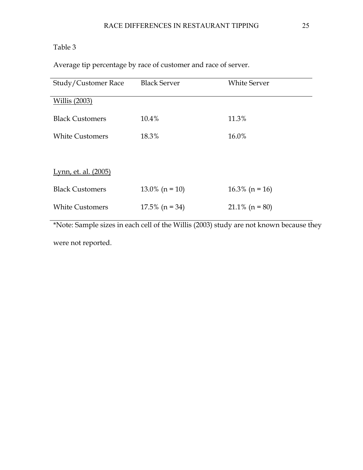Average tip percentage by race of customer and race of server.

| <b>Black Server</b>         | <b>White Server</b> |  |  |  |  |
|-----------------------------|---------------------|--|--|--|--|
|                             |                     |  |  |  |  |
| 10.4%                       | 11.3%               |  |  |  |  |
| 18.3%                       | 16.0%               |  |  |  |  |
|                             |                     |  |  |  |  |
| <u>Lynn, et. al. (2005)</u> |                     |  |  |  |  |
| $13.0\%$ (n = 10)           | $16.3\%$ (n = 16)   |  |  |  |  |
| $17.5\%$ (n = 34)           | $21.1\%$ (n = 80)   |  |  |  |  |
|                             |                     |  |  |  |  |

\*Note: Sample sizes in each cell of the Willis (2003) study are not known because they were not reported.